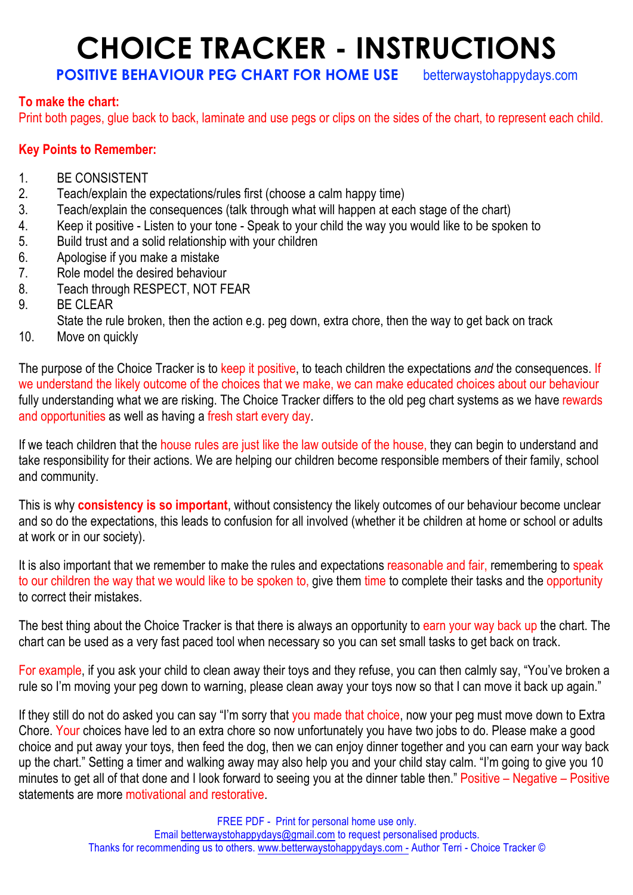## **CHOICE TRACKER - INSTRUCTIONS**

## **POSITIVE BEHAVIOUR PEG CHART FOR HOME USE** betterwaystohappydays.com

## **To make the chart:**

Print both pages, glue back to back, laminate and use pegs or clips on the sides of the chart, to represent each child.

## **Key Points to Remember:**

- 1. BE CONSISTENT
- 2. Teach/explain the expectations/rules first (choose a calm happy time)
- 3. Teach/explain the consequences (talk through what will happen at each stage of the chart)
- 4. Keep it positive Listen to your tone Speak to your child the way you would like to be spoken to
- 5. Build trust and a solid relationship with your children
- 6. Apologise if you make a mistake
- 7. Role model the desired behaviour
- 8. Teach through RESPECT, NOT FEAR
- 9. BE CLEAR
- State the rule broken, then the action e.g. peg down, extra chore, then the way to get back on track
- 10. Move on quickly

The purpose of the Choice Tracker is to keep it positive, to teach children the expectations *and* the consequences. If we understand the likely outcome of the choices that we make, we can make educated choices about our behaviour fully understanding what we are risking. The Choice Tracker differs to the old peg chart systems as we have rewards and opportunities as well as having a fresh start every day.

If we teach children that the house rules are just like the law outside of the house, they can begin to understand and take responsibility for their actions. We are helping our children become responsible members of their family, school and community.

This is why **consistency is so important**, without consistency the likely outcomes of our behaviour become unclear and so do the expectations, this leads to confusion for all involved (whether it be children at home or school or adults at work or in our society).

It is also important that we remember to make the rules and expectations reasonable and fair, remembering to speak to our children the way that we would like to be spoken to, give them time to complete their tasks and the opportunity to correct their mistakes.

The best thing about the Choice Tracker is that there is always an opportunity to earn your way back up the chart. The chart can be used as a very fast paced tool when necessary so you can set small tasks to get back on track.

For example, if you ask your child to clean away their toys and they refuse, you can then calmly say, "You've broken a rule so I'm moving your peg down to warning, please clean away your toys now so that I can move it back up again."

If they still do not do asked you can say "I'm sorry that you made that choice, now your peg must move down to Extra Chore. Your choices have led to an extra chore so now unfortunately you have two jobs to do. Please make a good choice and put away your toys, then feed the dog, then we can enjoy dinner together and you can earn your way back up the chart." Setting a timer and walking away may also help you and your child stay calm. "I'm going to give you 10 minutes to get all of that done and I look forward to seeing you at the dinner table then." Positive – Negative – Positive statements are more motivational and restorative.